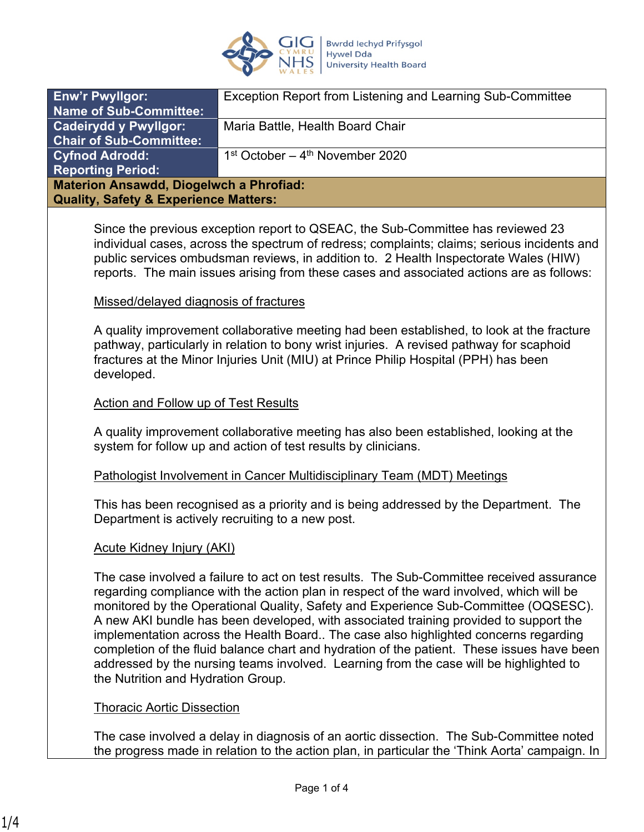

| <b>Enw'r Pwyllgor:</b>                           | Exception Report from Listening and Learning Sub-Committee |
|--------------------------------------------------|------------------------------------------------------------|
| <b>Name of Sub-Committee:</b>                    |                                                            |
| <b>Cadeirydd y Pwyllgor:</b>                     | Maria Battle, Health Board Chair                           |
| Chair of Sub-Committee:                          |                                                            |
| <b>Cyfnod Adrodd:</b>                            | $1st October – 4th November 2020$                          |
| <b>Reporting Period:</b>                         |                                                            |
| <b>Materion Ansawdd, Diogelwch a Phrofiad:</b>   |                                                            |
| <b>Quality, Safety &amp; Experience Matters:</b> |                                                            |
|                                                  |                                                            |

Since the previous exception report to QSEAC, the Sub-Committee has reviewed 23 individual cases, across the spectrum of redress; complaints; claims; serious incidents and public services ombudsman reviews, in addition to. 2 Health Inspectorate Wales (HIW) reports. The main issues arising from these cases and associated actions are as follows:

#### Missed/delayed diagnosis of fractures

A quality improvement collaborative meeting had been established, to look at the fracture pathway, particularly in relation to bony wrist injuries. A revised pathway for scaphoid fractures at the Minor Injuries Unit (MIU) at Prince Philip Hospital (PPH) has been developed.

### Action and Follow up of Test Results

A quality improvement collaborative meeting has also been established, looking at the system for follow up and action of test results by clinicians.

#### Pathologist Involvement in Cancer Multidisciplinary Team (MDT) Meetings

This has been recognised as a priority and is being addressed by the Department. The Department is actively recruiting to a new post.

### Acute Kidney Injury (AKI)

The case involved a failure to act on test results. The Sub-Committee received assurance regarding compliance with the action plan in respect of the ward involved, which will be monitored by the Operational Quality, Safety and Experience Sub-Committee (OQSESC). A new AKI bundle has been developed, with associated training provided to support the implementation across the Health Board.. The case also highlighted concerns regarding completion of the fluid balance chart and hydration of the patient. These issues have been addressed by the nursing teams involved. Learning from the case will be highlighted to the Nutrition and Hydration Group.

### Thoracic Aortic Dissection

The case involved a delay in diagnosis of an aortic dissection. The Sub-Committee noted the progress made in relation to the action plan, in particular the 'Think Aorta' campaign. In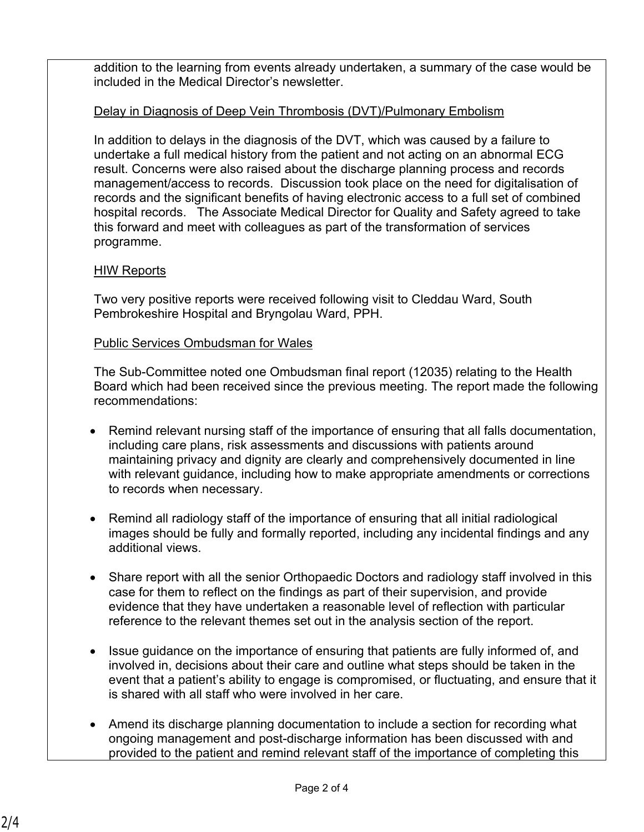addition to the learning from events already undertaken, a summary of the case would be included in the Medical Director's newsletter.

## Delay in Diagnosis of Deep Vein Thrombosis (DVT)/Pulmonary Embolism

In addition to delays in the diagnosis of the DVT, which was caused by a failure to undertake a full medical history from the patient and not acting on an abnormal ECG result. Concerns were also raised about the discharge planning process and records management/access to records. Discussion took place on the need for digitalisation of records and the significant benefits of having electronic access to a full set of combined hospital records. The Associate Medical Director for Quality and Safety agreed to take this forward and meet with colleagues as part of the transformation of services programme.

## HIW Reports

Two very positive reports were received following visit to Cleddau Ward, South Pembrokeshire Hospital and Bryngolau Ward, PPH.

## Public Services Ombudsman for Wales

The Sub-Committee noted one Ombudsman final report (12035) relating to the Health Board which had been received since the previous meeting. The report made the following recommendations:

- Remind relevant nursing staff of the importance of ensuring that all falls documentation, including care plans, risk assessments and discussions with patients around maintaining privacy and dignity are clearly and comprehensively documented in line with relevant guidance, including how to make appropriate amendments or corrections to records when necessary.
- Remind all radiology staff of the importance of ensuring that all initial radiological images should be fully and formally reported, including any incidental findings and any additional views.
- Share report with all the senior Orthopaedic Doctors and radiology staff involved in this case for them to reflect on the findings as part of their supervision, and provide evidence that they have undertaken a reasonable level of reflection with particular reference to the relevant themes set out in the analysis section of the report.
- Issue guidance on the importance of ensuring that patients are fully informed of, and involved in, decisions about their care and outline what steps should be taken in the event that a patient's ability to engage is compromised, or fluctuating, and ensure that it is shared with all staff who were involved in her care.
- Amend its discharge planning documentation to include a section for recording what ongoing management and post-discharge information has been discussed with and provided to the patient and remind relevant staff of the importance of completing this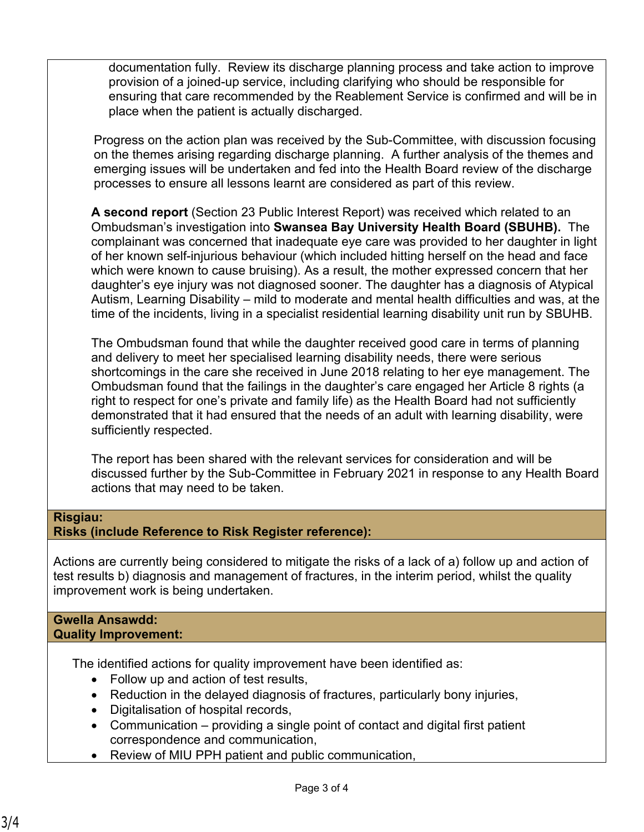documentation fully. Review its discharge planning process and take action to improve provision of a joined-up service, including clarifying who should be responsible for ensuring that care recommended by the Reablement Service is confirmed and will be in place when the patient is actually discharged.

Progress on the action plan was received by the Sub-Committee, with discussion focusing on the themes arising regarding discharge planning. A further analysis of the themes and emerging issues will be undertaken and fed into the Health Board review of the discharge processes to ensure all lessons learnt are considered as part of this review.

**A second report** (Section 23 Public Interest Report) was received which related to an Ombudsman's investigation into **Swansea Bay University Health Board (SBUHB).** The complainant was concerned that inadequate eye care was provided to her daughter in light of her known self-injurious behaviour (which included hitting herself on the head and face which were known to cause bruising). As a result, the mother expressed concern that her daughter's eye injury was not diagnosed sooner. The daughter has a diagnosis of Atypical Autism, Learning Disability – mild to moderate and mental health difficulties and was, at the time of the incidents, living in a specialist residential learning disability unit run by SBUHB.

The Ombudsman found that while the daughter received good care in terms of planning and delivery to meet her specialised learning disability needs, there were serious shortcomings in the care she received in June 2018 relating to her eye management. The Ombudsman found that the failings in the daughter's care engaged her Article 8 rights (a right to respect for one's private and family life) as the Health Board had not sufficiently demonstrated that it had ensured that the needs of an adult with learning disability, were sufficiently respected.

The report has been shared with the relevant services for consideration and will be discussed further by the Sub-Committee in February 2021 in response to any Health Board actions that may need to be taken.

# **Risgiau:**

# **Risks (include Reference to Risk Register reference):**

Actions are currently being considered to mitigate the risks of a lack of a) follow up and action of test results b) diagnosis and management of fractures, in the interim period, whilst the quality improvement work is being undertaken.

#### **Gwella Ansawdd: Quality Improvement:**

The identified actions for quality improvement have been identified as:

- Follow up and action of test results,
- Reduction in the delayed diagnosis of fractures, particularly bony injuries,
- Digitalisation of hospital records,
- Communication providing a single point of contact and digital first patient correspondence and communication,
- Review of MIU PPH patient and public communication,